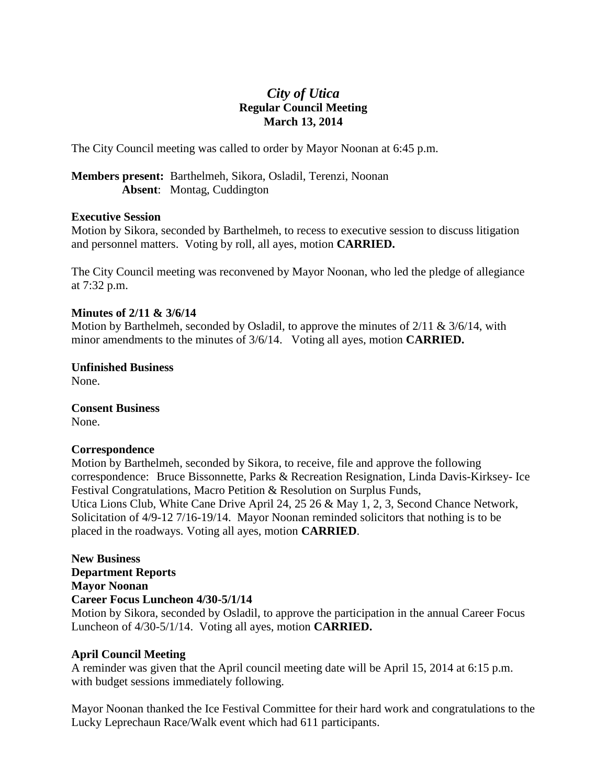# *City of Utica* **Regular Council Meeting March 13, 2014**

The City Council meeting was called to order by Mayor Noonan at 6:45 p.m.

**Members present:** Barthelmeh, Sikora, Osladil, Terenzi, Noonan **Absent**: Montag, Cuddington

## **Executive Session**

Motion by Sikora, seconded by Barthelmeh, to recess to executive session to discuss litigation and personnel matters. Voting by roll, all ayes, motion **CARRIED.**

The City Council meeting was reconvened by Mayor Noonan, who led the pledge of allegiance at 7:32 p.m.

## **Minutes of 2/11 & 3/6/14**

Motion by Barthelmeh, seconded by Osladil, to approve the minutes of 2/11 & 3/6/14, with minor amendments to the minutes of 3/6/14. Voting all ayes, motion **CARRIED.**

**Unfinished Business** None.

**Consent Business** None.

## **Correspondence**

Motion by Barthelmeh, seconded by Sikora, to receive, file and approve the following correspondence:Bruce Bissonnette, Parks & Recreation Resignation, Linda Davis-Kirksey- Ice Festival Congratulations, Macro Petition & Resolution on Surplus Funds, Utica Lions Club, White Cane Drive April 24, 25 26 & May 1, 2, 3, Second Chance Network, Solicitation of 4/9-12 7/16-19/14. Mayor Noonan reminded solicitors that nothing is to be placed in the roadways. Voting all ayes, motion **CARRIED**.

# **New Business Department Reports Mayor Noonan Career Focus Luncheon 4/30-5/1/14**

Motion by Sikora, seconded by Osladil, to approve the participation in the annual Career Focus Luncheon of 4/30-5/1/14. Voting all ayes, motion **CARRIED.**

## **April Council Meeting**

A reminder was given that the April council meeting date will be April 15, 2014 at 6:15 p.m. with budget sessions immediately following.

Mayor Noonan thanked the Ice Festival Committee for their hard work and congratulations to the Lucky Leprechaun Race/Walk event which had 611 participants.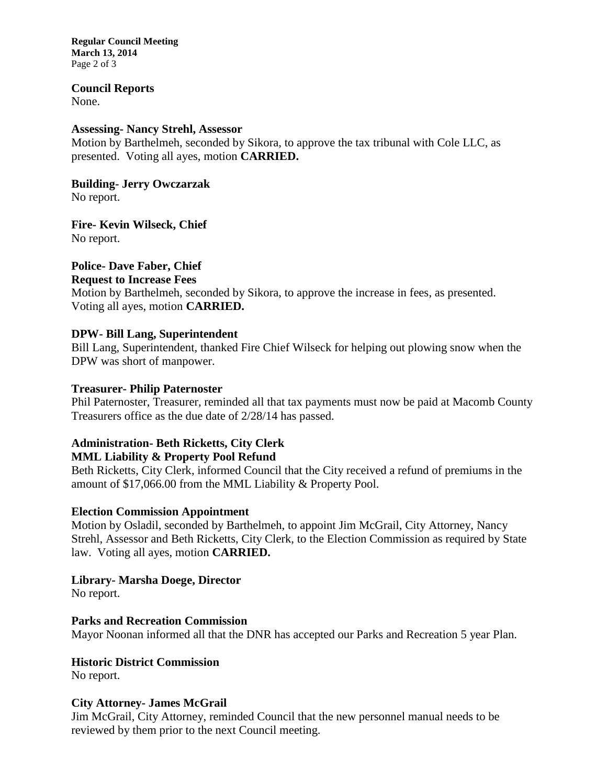**Regular Council Meeting March 13, 2014** Page 2 of 3

**Council Reports**

None.

## **Assessing- Nancy Strehl, Assessor**

Motion by Barthelmeh, seconded by Sikora, to approve the tax tribunal with Cole LLC, as presented. Voting all ayes, motion **CARRIED.**

**Building- Jerry Owczarzak** No report.

**Fire- Kevin Wilseck, Chief** No report.

# **Police- Dave Faber, Chief**

## **Request to Increase Fees**

Motion by Barthelmeh, seconded by Sikora, to approve the increase in fees, as presented. Voting all ayes, motion **CARRIED.**

## **DPW- Bill Lang, Superintendent**

Bill Lang, Superintendent, thanked Fire Chief Wilseck for helping out plowing snow when the DPW was short of manpower.

## **Treasurer- Philip Paternoster**

Phil Paternoster, Treasurer, reminded all that tax payments must now be paid at Macomb County Treasurers office as the due date of 2/28/14 has passed.

# **Administration- Beth Ricketts, City Clerk**

# **MML Liability & Property Pool Refund**

Beth Ricketts, City Clerk, informed Council that the City received a refund of premiums in the amount of \$17,066.00 from the MML Liability & Property Pool.

## **Election Commission Appointment**

Motion by Osladil, seconded by Barthelmeh, to appoint Jim McGrail, City Attorney, Nancy Strehl, Assessor and Beth Ricketts, City Clerk, to the Election Commission as required by State law. Voting all ayes, motion **CARRIED.**

# **Library- Marsha Doege, Director**

No report.

## **Parks and Recreation Commission**

Mayor Noonan informed all that the DNR has accepted our Parks and Recreation 5 year Plan.

## **Historic District Commission**

No report.

## **City Attorney- James McGrail**

Jim McGrail, City Attorney, reminded Council that the new personnel manual needs to be reviewed by them prior to the next Council meeting.